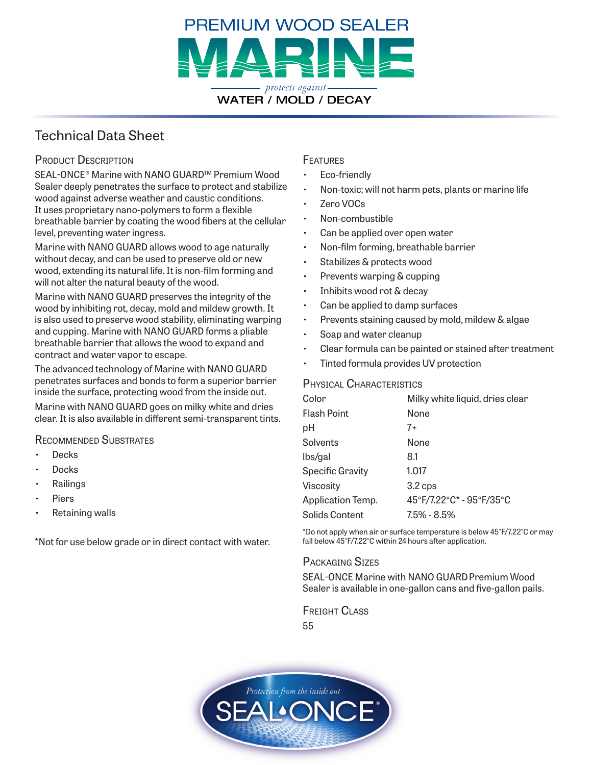

## Technical Data Sheet

## PRODUCT DESCRIPTION

SEAL-ONCE® Marine with NANO GUARD™ Premium Wood Sealer deeply penetrates the surface to protect and stabilize wood against adverse weather and caustic conditions. It uses proprietary nano-polymers to form a flexible breathable barrier by coating the wood fibers at the cellular level, preventing water ingress.

Marine with NANO GUARD allows wood to age naturally without decay, and can be used to preserve old or new wood, extending its natural life. It is non-film forming and will not alter the natural beauty of the wood.

Marine with NANO GUARD preserves the integrity of the wood by inhibiting rot, decay, mold and mildew growth. It is also used to preserve wood stability, eliminating warping and cupping. Marine with NANO GUARD forms a pliable breathable barrier that allows the wood to expand and contract and water vapor to escape.

The advanced technology of Marine with NANO GUARD penetrates surfaces and bonds to form a superior barrier inside the surface, protecting wood from the inside out.

Marine with NANO GUARD goes on milky white and dries clear. It is also available in different semi-transparent tints.

#### Recommended Substrates

- **Decks**
- Docks
- **Railings**
- **Piers**
- Retaining walls

\*Not for use below grade or in direct contact with water.

### **FEATURES**

- Eco-friendly
- Non-toxic; will not harm pets, plants or marine life
- Zero VOCs
- Non-combustible
- Can be applied over open water
- Non-film forming, breathable barrier
- Stabilizes & protects wood
- Prevents warping & cupping
- Inhibits wood rot & decay
- Can be applied to damp surfaces
- Prevents staining caused by mold, mildew & algae
- Soap and water cleanup
- Clear formula can be painted or stained after treatment
- Tinted formula provides UV protection

#### Physical Characteristics

| Color                   | Milky white liquid, dries clear |
|-------------------------|---------------------------------|
| <b>Flash Point</b>      | None                            |
| рH                      | $7+$                            |
| Solvents                | None                            |
| lbs/gal                 | 8.1                             |
| <b>Specific Gravity</b> | 1.017                           |
| Viscosity               | 3.2 cps                         |
| Application Temp.       | 45°F/7.22°C* - 95°F/35°C        |
| Solids Content          | $7.5\% - 8.5\%$                 |

\*Do not apply when air or surface temperature is below 45°F/7.22°C or may fall below 45°F/7.22°C within 24 hours after application.

#### Packaging Sizes

SEAL-ONCE Marine with NANO GUARD Premium Wood Sealer is available in one-gallon cans and five-gallon pails.

Freight Class 55